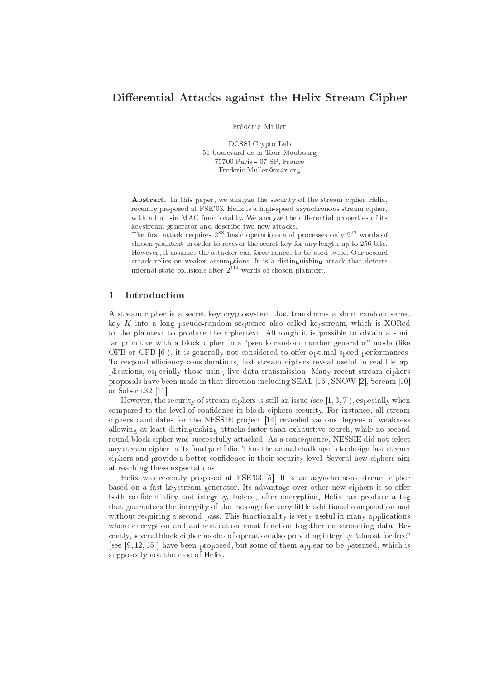# Differential Attacks against the Helix Stream Cipher

DCSSI Crypto Lab 51 boulevard de la Tour-Maubourg 75700 Paris - 07 SP, Fran
e Frederic.Muller@m4x.org

Abstract. In this paper, we analyze the security of the stream cipher Helix, recently proposed at FSE'03. Helix is a high-speed asynchronous stream cipher, with a built-in MAC functionality. We analyze the differential properties of its keystream generator and described and descriptions of the desired and descriptions of the second control of the s

The first attack requires  $2^{88}$  basic operations and processes only  $2^{12}$  words of hosen plaintext in order to re
over the se
ret key for any length up to 256 bits. However, it assumes the attacker can force nonces to be used twice. Our second attack relies on weaker assumptions. It is a distinguishing attack that detects internal state collisions after  $2^{114}$  words of chosen plaintext.

A stream ipher is a se
ret key ryptosystem that transforms ashort random se
ret key K into a long pseudo-random sequence also called keystream, which is XORed to the plaintext to produce the ciphertext. Although it is possible to obtain a similar primitive with a block cipher in a "pseudo-random number generator" mode (like  $OFB$  or CFB  $[6]$ , it is generally not considered to offer optimal speed performances. To respond efficiency considerations, fast stream ciphers reveal useful in real-life appli
ations, espe
ially those using live data transmission. Many re
ent stream iphers proposals have been made in that direction including  $SEAL$  [16], SNOW [2], Scream [10] or Sober-t32 [11] The Sober-t32 [11] The Sober-t32 [11] Sober-t32 [11] Sober-t32 [11] Sober-t32 [11] Sober-t32

However, the security of stream ciphers is still an issue (see  $[1, 3, 7]$ ), especially when compared to the level of confidence in block ciphers security. For instance, all stream ciphers candidates for the NESSIE project  $[14]$  revealed various degrees of weakness allowing at least distinguishing atta
ks faster than exhaustive sear
h, while no se
ond round block cipher was successfully attacked. As a consequence, NESSIE did not select any stream cipher in its final portfolio. Thus the actual challenge is to design fast stream ciphers and provide a better confidence in their security level. Several new ciphers aim at rea
hing these expe
tations.

Helix was recently proposed at FSE'03 [5]. It is an asynchronous stream cipher based on a fast keystream generator. Its advantage over other new ciphers is to offer both confidentiality and integrity. Indeed, after encryption, Helix can produce a tag that guarantees the integrity of the message for very little additional omputation and without requiring a second pass. This functionality is very useful in many applications where encryption and authentication must function together on streaming data. Recently, several block cipher modes of operation also providing integrity "almost for free"  $($ see  $[9, 12, 15]$  have been proposed, but some of them appear to be patented, which is supposedly not the ase of Helix.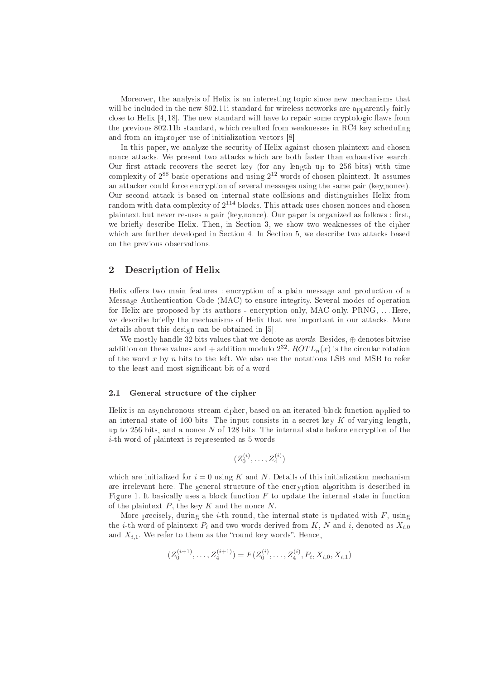Moreover, the analysis of Helix is an interesting topic since new mechanisms that will be included in the new 802.11 standard for wireless networks are apparently fairly close to Helix  $[4, 18]$ . The new standard will have to repair some cryptologic flaws from the previous 802.11b standard, whi
h resulted from weaknesses in RC4 key s
heduling and from an improper use of initialization vectors [8].

In this paper, we analyze the security of Helix against chosen plaintext and chosen non
e atta
ks. We present two atta
ks whi
h are both faster than exhaustive sear
h. Our first attack recovers the secret key (for any length up to 256 bits) with time complexity of  $2^{88}$  basic operations and using  $2^{12}$  words of chosen plaintext. It assumes an attacker could force encryption of several messages using the same pair (key,nonce). Our se
ond atta
kis based on internal state ollisions and distinguishes Helix from  $r$ andom with data complexity of  $2^{114}$  blocks. This attack uses chosen nonces and chosen plaintext but never re-uses a pair (key, nonce). Our paper is organized as follows : first, we briefly describe Helix. Then, in Section 3, we show two weaknesses of the cipher which are further developed in Section 4. In Section 5, we describe two attacks based on the previous observations.

# <sup>2</sup> Des
ription of Helix

Helix offers two main features : encryption of a plain message and production of a Message Authenti
ation Code (MAC) to ensure integrity. Several modes of operation for Helix are proposed by its authors - encryption only, MAC only, PRNG, ... Here, we describe briefly the mechanisms of Helix that are important in our attacks. More details about this design can be obtained in [5].

We mostly handle 32 bits values that we denote as *words*. Besides,  $\oplus$  denotes bitwise addition on these values and  $+$  addition modulo  $2^{32}$ .  $ROTL_n(x)$  is the circular rotation of the word  $x$  by  $n$  bits to the left. We also use the notations LSB and MSB to refer to the least and most significant bit of a word.

## 2.1 General structure of the cipher

Helix is an asynchronous stream cipher, based on an iterated block function applied to an internal state of 160 bits. The input consists in a secret key  $K$  of varying length, up to 256 bits, and a nonce N of 128 bits. The internal state before encryption of the i-th word of plaintext is represented as 5 words

$$
(Z_0^{(i)}, \ldots, Z_4^{(i)})
$$

which are initialized for  $i = 0$  using K and N. Details of this initialization mechanism are irrelevant here. The general structure of the encryption algorithm is described in Figure 1. It basically uses a block function  $F$  to update the internal state in function of the plaintext  $P$ , the key  $K$  and the nonce  $N$ .<br>More precisely, during the *i*-th round, the internal state is updated with  $F$ , using

the *i*-th word of plaintext  $P_i$  and two words derived from  $K$ ,  $N$  and  $i$ , denoted as  $X_{i,0}$ and  $X_{i,1}$ . We refer to them as the "round key words". Hence,

$$
(Z_0^{(i+1)}, \ldots, Z_4^{(i+1)}) = F(Z_0^{(i)}, \ldots, Z_4^{(i)}, P_i, X_{i,0}, X_{i,1})
$$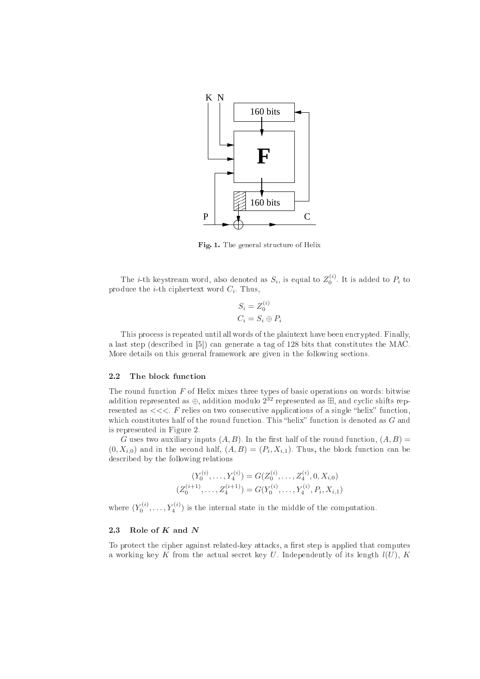

Fig. 1. The general structure of Helix 1. The general structure of Helixand structure of Helixand structure of Helixand Structure of Helixand Structure

The *i*-th keystream word, also denoted as  $S_i$ , is equal to  $Z_0^{(i)}$ . It is added to  $P_i$  to produce the *i*-th ciphertext word  $C_i$ . Thus,

$$
S_i = Z_0^{(i)}
$$
  

$$
C_i = S_i \oplus P_i
$$

This pro
ess is repeated until all words of the plaintext have been en
rypted. Finally, a last step (described in [5]) can generate a tag of 128 bits that constitutes the MAC. More details on this general framework are given in the following se
tions.

# $2.2$

The round function  $F$  of Helix mixes three types of basic operations on words: bitwise addition represented as  $\oplus$ , addition modulo  $2^{32}$  represented as  $\boxplus$ , and cyclic shifts represented as  $<<$ . F relies on two consecutive applications of a single "helix" function, which constitutes half of the round function. This "helix" function is denoted as  $G$  and is represented in Figure 2.

G uses two auxiliary inputs  $(A, B)$ . In the first half of the round function,  $(A, B)$  $(0, X_{i,0})$  and in the second half,  $(A, B) = (P_i, X_{i,1})$ . Thus, the block function can be des
ribed by the following relations

$$
(Y_0^{(i)}, \dots, Y_4^{(i)}) = G(Z_0^{(i)}, \dots, Z_4^{(i)}, 0, X_{i,0})
$$
  

$$
(Z_0^{(i+1)}, \dots, Z_4^{(i+1)}) = G(Y_0^{(i)}, \dots, Y_4^{(i)}, P_i, X_{i,1})
$$

where  $(Y_0^{(i)},..., Y_4^{(i)})$  is the internal state in the middle of the computation.

# 2.3 Role of  $K$  and  $N$

To protect the cipher against related-key attacks, a first step is applied that computes a working key K from the actual secret key U. Independently of its length  $l(U)$ , K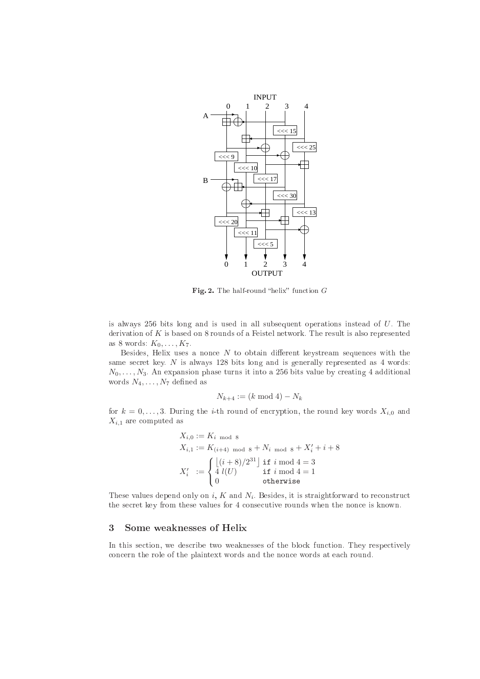

**Fig. 2.** The half-round "helix" function  $G$ 

is always 256 bits long and is used in all subsequent operations instead of  $U$ . The derivation of  $K$  is based on 8 rounds of a Feistel network. The result is also represented as 8 words:  $K_0, \ldots, K_7$ .

Besides, Helix uses a nonce  $N$  to obtain different keystream sequences with the same secret key. N is always 128 bits long and is generally represented as 4 words:  $N_0, \ldots, N_3$ . An expansion phase turns it into a 256 bits value by creating 4 additional words  $N_4, \ldots, N_7$  defined as

$$
N_{k+4} := (k \bmod 4) - N_k
$$

for  $k = 0, \ldots, 3$ . During the *i*-th round of encryption, the round key words  $X_{i,0}$  and  $X_{i,1}$  are computed as

$$
X_{i,0} := K_{i \mod 8}
$$
  
\n
$$
X_{i,1} := K_{(i+4) \mod 8} + N_{i \mod 8} + X'_{i} + i + 8
$$
  
\n
$$
X'_{i} := \begin{cases} \lfloor (i+8)/2^{31} \rfloor & \text{if } i \mod 4 = 3\\ 4 \ l(U) & \text{if } i \mod 4 = 1\\ 0 & \text{otherwise} \end{cases}
$$

These values depend only on  $i, K$  and  $N_i$ . Besides, it is straightforward to reconstruct the secret key from these values for 4 consecutive rounds when the nonce is known.

# $\overline{3}$

In this section, we describe two weaknesses of the block function. They respectively on
ern the role of the plaintext words and the non
e words at ea
h round.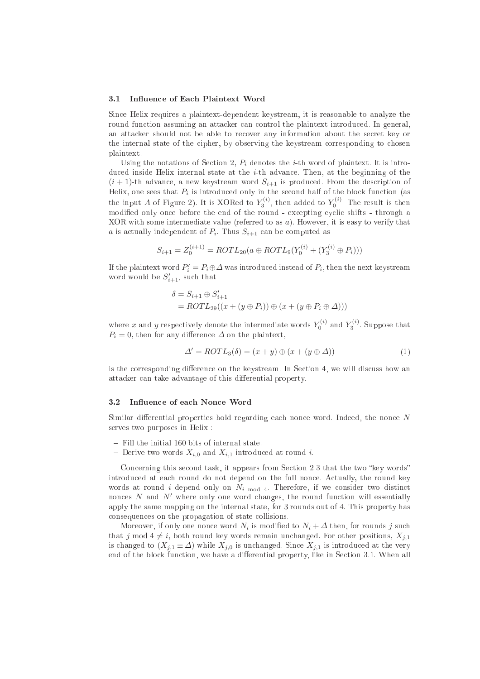## 3.1 Influence of Each Plaintext Word

Sin
e Helix requires a plaintext-dependent keystream, it is reasonable to analyze the round fun
tion assuming an atta
ker an ontrol the plaintext introdu
ed. In general, an atta
ker should not be able to re
over any information about the se
ret key or the internal state of the ipher, by observing the keystream orresponding to hosen plaintext.

Using the notations of Section 2,  $P_i$  denotes the *i*-th word of plaintext. It is introduced inside Helix internal state at the *i*-th advance. Then, at the beginning of the  $(i + 1)$ -th advance, a new keystream word  $S_{i+1}$  is produced. From the description of Helix, one sees that  $P_i$  is introduced only in the second half of the block function (as the input A of Figure 2). It is XORed to  $Y_3^{(i)}$ , then added to  $Y_0^{(i)}$ . The result is then modified only once before the end of the round - excepting cyclic shifts - through a XOR with some intermediate value (referred to as  $a$ ). However, it is easy to verify that a is actually independent of  $P_i$ . Thus  $S_{i+1}$  can be computed as

$$
S_{i+1} = Z_0^{(i+1)} = ROTL_{20}(a \oplus ROTL_9(Y_0^{(i)} + (Y_3^{(i)} \oplus P_i)))
$$

If the plaintext word  $P_i' = P_i \oplus \Delta$  was introduced instead of  $P_i$ , then the next keystream word would be  $S'_{i+1}$ , such that  $i+1$ , such that

$$
\delta = S_{i+1} \oplus S'_{i+1}
$$
  
=  $ROTL_{29}((x + (y \oplus P_i)) \oplus (x + (y \oplus P_i \oplus \Delta)))$ 

where x and y respectively denote the intermediate words  $Y_0^{(i)}$  and  $Y_3^{(i)}$ . Suppose that  $3$  . Suppose that  $P_i = 0$ , then for any difference  $\Delta$  on the plaintext,

$$
\Delta' = ROTL_3(\delta) = (x + y) \oplus (x + (y \oplus \Delta))
$$
\n(1)

is the corresponding difference on the keystream. In Section 4, we will discuss how an attacker can take advantage of this differential property.

### 3.2 Inuen
e of ea
h Non
e Word

Similar differential properties hold regarding each nonce word. Indeed, the nonce  $N$ serves two purposes in Helix :

- Fill the initial 160 bits of internal state.
- Derive two words  $X_{i,0}$  and  $X_{i,1}$  introduced at round i.

Concerning this second task, it appears from Section 2.3 that the two "key words" introdu
ed at ea
h round do not depend on the full non
e. A
tually, the round key words at round i depend only on  $N_{i \text{ mod } 4}$ . Therefore, if we consider two distinct nonces  $N$  and  $N'$  where only one word changes, the round function will essentially apply the same mapping on the internal state, for 3 rounds out of 4. This property has onsequen
es on the propagation of state ollisions.

Moreover, if only one nonce word  $N_i$  is modified to  $N_i + \Delta$  then, for rounds j such that j mod  $4 \neq i$ , both round key words remain unchanged. For other positions,  $X_{i,1}$ is changed to  $(X_{j,1} \pm \Delta)$  while  $X_{j,0}$  is unchanged. Since  $X_{j,1}$  is introduced at the very end of the block function, we have a differential property, like in Section 3.1. When all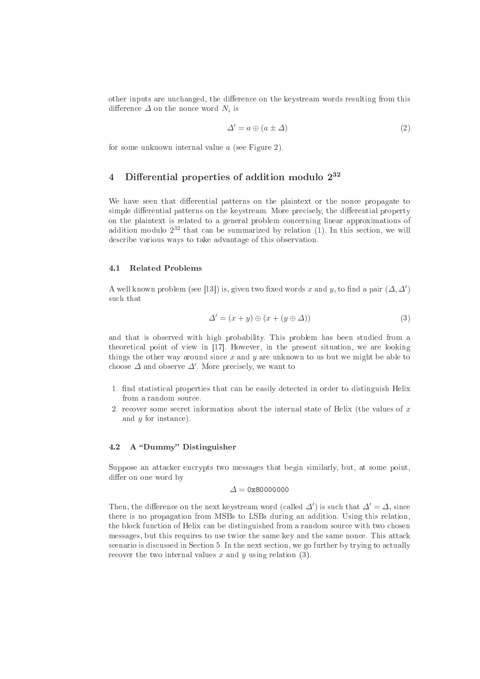other inputs are unchanged, the difference on the keystream words resulting from this difference  $\Delta$  on the nonce word  $N_i$  is

$$
\Delta' = a \oplus (a \pm \Delta) \tag{2}
$$

for some unknown internal value  $a$  (see Figure 2).

# $4$  Differential properties of addition modulo  $2^{32}$

We have seen that differential patterns on the plaintext or the nonce propagate to simple differential patterns on the keystream. More precisely, the differential property on the plaintext is related to a general problem on
erning linear approximations of addition modulo  $2^{32}$  that can be summarized by relation (1). In this section, we will des
ribe various ways to take advantage of this observation.

A well known problem (see [13]) is, given two fixed words x and y, to find a pair  $(\Delta, \Delta')$ such that

$$
\Delta' = (x + y) \oplus (x + (y \oplus \Delta))
$$
\n(3)

and that is observed with high probability. This problem has been studied from a theoretical point of view in [17]. However, in the present situation, we are looking things the other way around since  $x$  and  $y$  are unknown to us but we might be able to choose  $\Delta$  and observe  $\Delta'$ . More precisely, we want to

- 1. find statistical properties that can be easily detected in order to distinguish Helix
- 2. recover some secret information about the internal state of Helix (the values of x and  $y$  for instance).

# 4.2 A "Dummy" Distinguisher

Suppose an attacker encrypts two messages that begin similarly, but, at some point, differ on one word by

$$
\Delta = 0 \times 80000000
$$

Then, the difference on the next keystream word (called  $\Delta'$ ) is such that  $\Delta' = \Delta$ , since there is no propagation from MSBs to LSBs during an addition. Using this relation, the block function of Helix can be distinguished from a random source with two chosen messages, but this requires to use twi
e the same key and the same non
e. This atta
k scenario is discussed in Section 5. In the next section, we go further by trying to actually recover the two internal values x and y using relation  $(3)$ .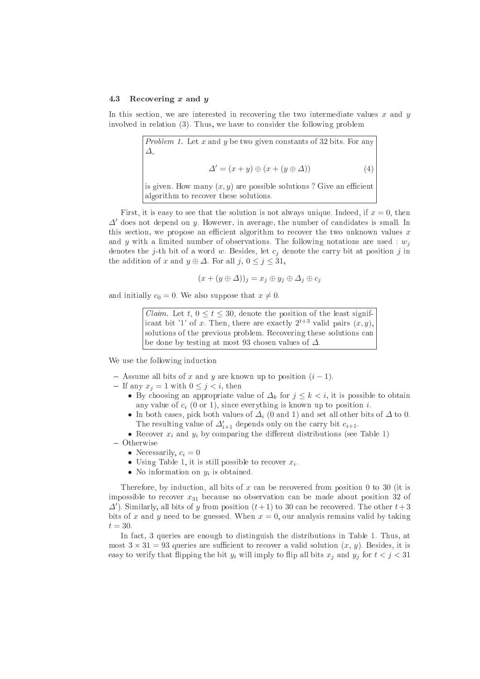## 4.3 Re
overing x and y

In this section, we are interested in recovering the two intermediate values  $x$  and  $y$ involved in relation (3). Thus, we have to consider the following problem

Problem 1. Let x and y be two given constants of 32 bits. For any 
$$
\Delta
$$
,  
\n
$$
\Delta' = (x + y) \oplus (x + (y \oplus \Delta))
$$
\nis given. How many  $(x, y)$  are possible solutions? Give an efficient

 $\begin{bmatrix} a \\ b \end{bmatrix}$  algorithm to recover these solutions.

First, it is easy to see that the solution is not always unique. Indeed, if  $x = 0$ , then  $\Delta'$  does not depend on y. However, in average, the number of candidates is small. In this section, we propose an efficient algorithm to recover the two unknown values  $x$ and y with a limited number of observations. The following notations are used :  $w_j$ denotes the j-th bit of a word w. Besides, let  $c_j$  denote the carry bit at position j in the addition of x and  $y \oplus \Delta$ . For all  $j, 0 \leq j \leq 31$ ,

$$
(x + (y \oplus \Delta))_j = x_j \oplus y_j \oplus \Delta_j \oplus c_j
$$

and initially  $c_0 = 0$ . We also suppose that  $x \neq 0$ .

*Claim.* Let  $t, 0 \le t \le 30$ , denote the position of the least significant bit '1' of x. Then, there are exactly  $2^{t+3}$  valid pairs  $(x, y)$ , valid pairs  $(x, y)$ , solutions of the previous problem. Recovering these solutions can be done by testing at most 93 chosen values of  $\Delta$ .<br>We use the following induction

- Assume all bits of x and y are known up to position  $(i 1)$ .
- If any  $x_j = 1$  with  $0 \leq j \leq i$ , then
	- By choosing an appropriate value of  $\Delta_k$  for  $j \leq k \leq i$ , it is possible to obtain any value of  $c_i$  (0 or 1), since everything is known up to position *i*.
	- In both cases, pick both values of  $\Delta_i$  (0 and 1) and set all other bits of  $\Delta$  to 0. The resulting value of  $\Delta'_{i+1}$  depends only on the carry bit  $c_{i+1}$ .
	- Recover  $x_i$  and  $y_i$  by comparing the different distributions (see Table 1)

- Necessarily,  $c_i = 0$
- Using Table 1, it is still possible to recover  $x_i$ .
- No information on  $y_i$  is obtained.

Therefore, by induction, all bits of  $x$  can be recovered from position 0 to 30 (it is impossible to recover  $x_{31}$  because no observation can be made about position 32 of  $\Delta'$ ). Similarly, all bits of y from position  $(t+1)$  to 30 can be recovered. The other  $t+3$ bits of x and y need to be guessed. When  $x = 0$ , our analysis remains valid by taking  $t = 30$ .

In fact, 3 queries are enough to distinguish the distributions in Table 1. Thus, at most  $3 \times 31 = 93$  queries are sufficient to recover a valid solution  $(x, y)$ . Besides, it is easy to verify that flipping the bit  $y_t$  will imply to flip all bits  $x_j$  and  $y_j$  for  $t < j < 31$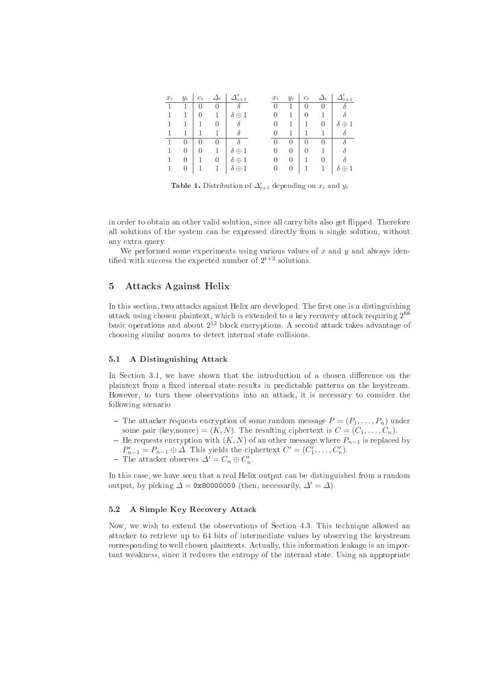|                                                                |                | $c_i$          | $\Delta_i$                            | $\Delta'_{i+1}$   | $x_i$            | $y_i$          | $c_i$                                                 | $\Delta_i$     | $\Delta'_{i+1}$   |
|----------------------------------------------------------------|----------------|----------------|---------------------------------------|-------------------|------------------|----------------|-------------------------------------------------------|----------------|-------------------|
| $\begin{array}{c cc}\nx_i & y_i \\ \hline\n1 & 1\n\end{array}$ |                | $\overline{0}$ | $\overline{0}$                        | $\delta$          | $\overline{0}$   | $\mathbf{1}$   | $\overline{0}$                                        | $\overline{0}$ | $\delta$          |
| $\langle 1 \rangle - \langle 1 \rangle$                        |                |                | $\begin{pmatrix} 0 & 1 \end{pmatrix}$ | $\delta \oplus 1$ | $\boldsymbol{0}$ | $\mathbf{1}$   | $\overline{0}$                                        | $\mathbf{H}$   | $\delta$          |
| $\sim1$                                                        |                | $\,1\,$        | $\overline{0}$                        | $\delta$          | $0\,$            | $\mathbf{1}^-$ |                                                       | $\overline{0}$ | $\delta \oplus 1$ |
| $\mathbf{1}$                                                   |                |                |                                       | $\delta$          | $\overline{0}$   |                |                                                       |                | $\delta$          |
| $\overline{\begin{array}{ccc}1 & 0\end{array}}$                |                | $\overline{0}$ | $\overline{0}$                        | $\delta$          | $\boxed{0}$      | $\boxed{0}$    | $\begin{array}{ c c } \hline 0 \\ \hline \end{array}$ | $\overline{0}$ | $\delta$          |
| $1\quad \  \  0$                                               |                |                | $0 \qquad 1$                          | $\delta \oplus 1$ | $\,0\,$          | $\overline{0}$ | $\sim 0$                                              |                | $\delta$          |
| $1 \quad 0$                                                    |                | $\mathbf{1}$   | $\overline{0}$                        | $\delta \oplus 1$ | $\overline{0}$   | $\overline{0}$ |                                                       | $\overline{0}$ | $\delta$          |
| $1^{\circ}$                                                    | $\overline{0}$ | $\mathbf{r}$   |                                       | $\delta \oplus 1$ | $\boldsymbol{0}$ | $0\,$          | $\mathbf{r}$                                          |                | $\delta \oplus 1$ |

**Table 1.** Distribution of  $\Delta'_{i+1}$  depending on  $x_i$  and  $y_i$ 

in order to obtain an other valid solution, since all carry bits also get flipped. Therefore all solutions of the system an be expressed dire
tly from a single solution, without any extra query.

We performed some experiments using various values of  $x$  and  $y$  and always identified with success the expected number of  $2^{t+3}$  solutions.

# 5 Atta
ks Against Helix

In this section, two attacks against Helix are developed. The first one is a distinguishing attack using chosen plaintext, which is extended to a key recovery attack requiring  $2^{88}$ basic operations and about  $2^{12}$  block encryptions. A second attack takes advantage of hoosing similar non
es to dete
t internal state ollisions.

# 5.1 A Distinguishing Atta
k

In Section 3.1, we have shown that the introduction of a chosen difference on the plaintext from a fixed internal state results in predictable patterns on the keystream. However, to turn these observations into an attack, it is necessary to consider the following s
enario

- The attacker requests encryption of some random message  $P = (P_1, \ldots, P_n)$  under some pair (key,nonce) =  $(K, N)$ . The resulting ciphertext is  $C = (C_1, \ldots, C_n)$ .
- He requests encryption with  $(K, N)$  of an other message where  $P_{n-1}$  is replaced by  $P'_{n-1} = P_{n-1} \oplus \Delta$ . This yields the ciphertext  $C' = (C'_1, \ldots, C'_n)$ .  $\binom{n}{n}$ .
- The attacker observes  $\Delta' = C_n \oplus C'_n$ .

In this case, we have seen that a real Helix output can be distinguished from a random output, by picking  $\Delta = 0x80000000$  (then, necessarily,  $\Delta' = \Delta$ ).

### $5.2$ 5.2 A Simple Key Re
overy Atta
k

Now, we wish to extend the observations of Section 4.3. This technique allowed an atta
ker to retrieve up to 64 bits of intermediate values by observing the keystream orresponding to well hosen plaintexts. A
tually, this information leakage is an important weakness, sin
e it redu
es the entropy of the internal state. Using an appropriate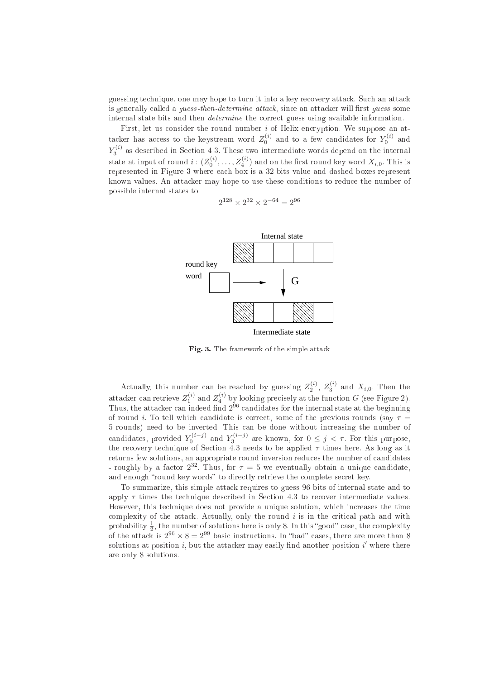guessing technique, one may hope to turn it into a key recovery attack. Such an attack is generally called a *quess-then-determine attack*, since an attacker will first *quess* some internal state bits and then determine the orre
t guess using available information.

First, let us consider the round number i of Helix encryption. We suppose an attacker has access to the keystream word  $Z_0^{(i)}$  and to a few candidates for  $Y_0^{(i)}$  and  $0 \quad \text{and}$  $Y_3^{(i)}$  as described in Section 4.3. These two intermediate words depend on the internal state at input of round  $i: (Z_0^{(i)}, \ldots, Z_4^{(i)})$  and on the first round key word  $X_{i,0}$ . This is represented in Figure 3 where ea
h box is a 32 bits value and dashed boxes represent known values. An attacker may hope to use these conditions to reduce the number of possible internal states to

$$
2^{128} \times 2^{32} \times 2^{-64} = 2^{96}
$$



Fig. 3. The framework of the simple atta
k

Actually, this number can be reached by guessing  $Z_2^{(i)}$ ,  $Z_3^{(i)}$  and  $X_{i,0}$ . Then the attacker can retrieve  $Z_1^{(i)}$  and  $Z_4^{(i)}$  by looking precisely at the function  $G$  (see Figure 2). Thus, the attacker can indeed find  $2^{96}$  candidates for the internal state at the beginning of round i. To tell which candidate is correct, some of the previous rounds (say  $\tau =$ 5 rounds) need to be inverted. This an be done without in
reasing the number of candidates, provided  $Y_0^{(i-j)}$  and  $Y_3^{(i-j)}$  are known, for  $0 \leq j < \tau$ . For this purpose, the recovery technique of Section 4.3 needs to be applied  $\tau$  times here. As long as it returns few solutions, an appropriate round inversion redu
es the number of andidates - roughly by a factor  $2^{32}$ . Thus, for  $\tau = 5$  we eventually obtain a unique candidate, and enough "round key words" to directly retrieve the complete secret key.

To summarize, this simple atta
k requires to guess 96 bits of internal state and to apply  $\tau$  times the technique described in Section 4.3 to recover intermediate values. However, this technique does not provide a unique solution, which increases the time complexity of the attack. Actually, only the round  $i$  is in the critical path and with probability  $\frac{1}{2}$ , the number of solutions here is only 8. In this "good" case, the complexity of the attack is  $2^{96} \times 8 = 2^{99}$  basic instructions. In "bad" cases, there are more than 8 solutions at position *i*, but the attacker may easily find another position  $i'$  where there are only 8 solutions.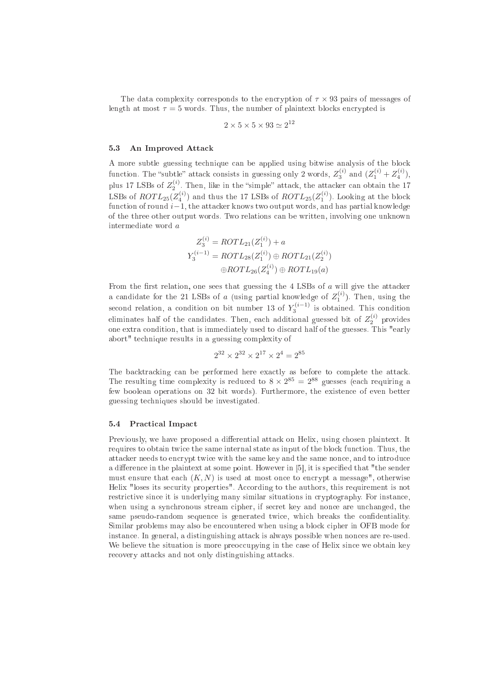The data complexity corresponds to the encryption of  $\tau \times 93$  pairs of messages of length at most  $\tau = 5$  words. Thus, the number of plaintext blocks encrypted is

$$
2 \times 5 \times 5 \times 93 \simeq 2^{12}
$$

### $5.3$ 5.3 An Improved Atta
k

function. The "subtle" attack consists in guessing only 2 words,  $Z_3^{(i)}$  and  $(Z_1^{(i)} + Z_4^{(i)}),$ ), plus 17 LSBs of  $Z_2^{(i)}$ . Then, like in the "simple" attack, the attacker can obtain the 17 LSBs of  $ROTL_{25}(Z_4^{(i)})$  and thus the 17 LSBs of  $ROTL_{25}(Z_1^{(i)})$ . Looking at the block function of round *i*-1, the attacker knows two output words, and has partial knowledge of the three other output words. Two relations an be written, involving one unknown intermediate word a

$$
Z_3^{(i)} = ROTL_{21}(Z_1^{(i)}) + a
$$
  
\n
$$
Y_3^{(i-1)} = ROTL_{28}(Z_1^{(i)}) \oplus ROTL_{21}(Z_2^{(i)})
$$
  
\n
$$
\oplus ROTL_{26}(Z_4^{(i)}) \oplus ROTL_{19}(a)
$$

From the first relation, one sees that guessing the  $4$  LSBs of  $a$  will give the attacker a candidate for the 21 LSBs of a (using partial knowledge of  $Z_1^{(i)}$ ). Then, using the second relation, a condition on bit number 13 of  $Y_3^{(i-1)}$  is obtained. This condition eliminates half of the candidates. Then, each additional guessed bit of  $Z_2^{(i)}$  provides 2 provides one extra ondition, that is immediately used to dis
ard half of the guesses. This "early abort" te
hnique results in a guessing omplexity of

$$
2^{32}\times 2^{32}\times 2^{17}\times 2^4=2^{85}
$$

The backtracking can be performed here exactly as before to complete the attack. The resulting time complexity is reduced to  $8 \times 2^{85} = 2^{88}$  guesses (each requiring a few boolean operations on 32 bit words). Furthermore, the existen
e of even better guessing te
hniques should be investigated.

## 5.4 Practical Impact

Previously, we have proposed a differential attack on Helix, using chosen plaintext. It requires to obtain twice the same internal state as input of the block function. Thus, the attacker needs to encrypt twice with the same key and the same nonce, and to introduce a difference in the plaintext at some point. However in [5], it is specified that "the sender must ensure that each  $(K, N)$  is used at most once to encrypt a message", otherwise Helix "loses its security properties". According to the authors, this requirement is not restrictive since it is underlying many similar situations in cryptography. For instance, when using a synchronous stream cipher, if secret key and nonce are unchanged, the same pseudo-random sequence is generated twice, which breaks the confidentiality. Similar problems may also be encountered when using a block cipher in OFB mode for instan
e. In general, a distinguishing atta
k is always possible when non
es are re-used. We believe the situation is more preoccupying in the case of Helix since we obtain key recovery attacks and not only distinguishing attacks.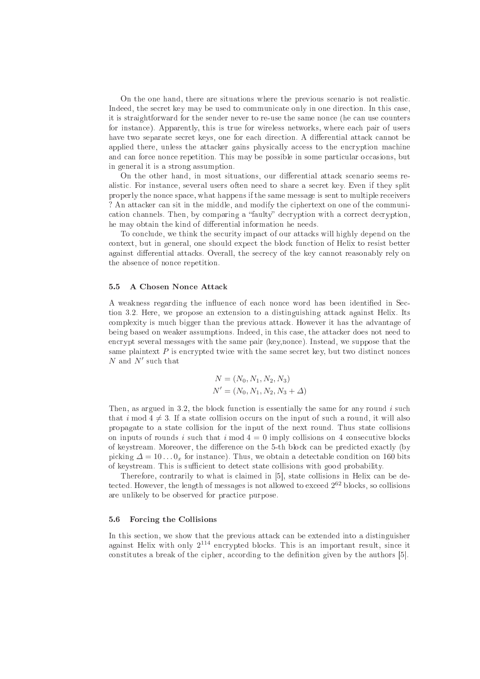On the one hand, there are situations where the previous s
enario is not realisti
. Indeed, the secret key may be used to communicate only in one direction. In this case, it is straightforward for the sender never to re-use the same nonce (he can use counters for instance). Apparently, this is true for wireless networks, where each pair of users have two separate secret keys, one for each direction. A differential attack cannot be applied there, unless the attacker gains physically access to the encryption machine and can force nonce repetition. This may be possible in some particular occasions, but in general it is a strong assumption.

On the other hand, in most situations, our differential attack scenario seems realistic. For instance, several users often need to share a secret key. Even if they split properly the non
e spa
e, what happens if the same message is sent to multiple re
eivers ? An attacker can sit in the middle, and modify the ciphertext on one of the communication channels. Then, by comparing a "faulty" decryption with a correct decryption, he may obtain the kind of differential information he needs.

To on
lude, we think the se
urity impa
t of our atta
ks will highly depend on the ontext, but in general, one should expe
t the blo
k fun
tion of Helix to resist better against differential attacks. Overall, the secrecy of the key cannot reasonably rely on the absen
e of non
e repetition.

A weakness regarding the influence of each nonce word has been identified in Section 3.2. Here, we propose an extension to a distinguishing atta
k against Helix. Its omplexity is mu
h bigger than the previous atta
k. However it has the advantage of being based on weaker assumptions. Indeed, in this ase, the atta
ker does not need to encrypt several messages with the same pair (key,nonce). Instead, we suppose that the same plaintext  $P$  is encrypted twice with the same secret key, but two distinct nonces  $N$  and  $N'$  such that

$$
N = (N_0, N_1, N_2, N_3)
$$
  

$$
N' = (N_0, N_1, N_2, N_3 + \Delta)
$$

Then, as argued in 3.2, the block function is essentially the same for any round  $i$  such that i mod  $4 \neq 3$ . If a state collision occurs on the input of such a round, it will also propagate to a state ollision for the input of the next round. Thus state ollisions on inputs of rounds i such that  $i \mod 4 = 0$  imply collisions on 4 consecutive blocks of keystream. Moreover, the difference on the 5-th block can be predicted exactly (by picking  $\Delta = 10...0_x$  for instance). Thus, we obtain a detectable condition on 160 bits of keystream. This is sufficient to detect state collisions with good probability.

Therefore, contrarily to what is claimed in [5], state collisions in Helix can be detected. However, the length of messages is not allowed to exceed  $2^{62}$  blocks, so collisions are unlikely to be observed for practice purpose.

### 5.6 For
ing the Collisions  $5.6$

In this section, we show that the previous attack can be extended into a distinguisher against Helix with only  $2^{114}$  encrypted blocks. This is an important result, since it constitutes a break of the cipher, according to the definition given by the authors [5].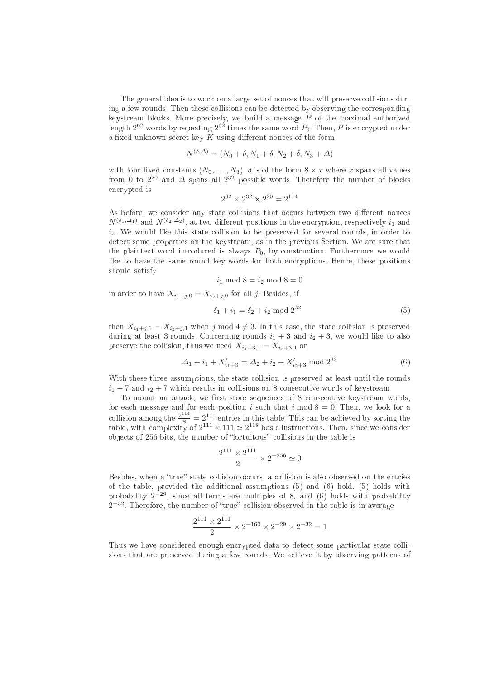The general idea is to work on a large set of non
es that will preserve ollisions during a few rounds. Then these ollisions an be dete
ted by observing the orresponding keystream blocks. More precisely, we build a message P of the maximal authorized length  $2^{62}$  words by repeating  $2^{62}$  times the same word  $P_0$ . Then,  $P$  is encrypted under a fixed unknown secret key  $K$  using different nonces of the form

$$
N^{(\delta,\Delta)} = (N_0 + \delta, N_1 + \delta, N_2 + \delta, N_3 + \Delta)
$$

with four fixed constants  $(N_0, \ldots, N_3)$ .  $\delta$  is of the form  $8 \times x$  where x spans all values from 0 to  $2^{20}$  and  $\Delta$  spans all  $2^{32}$  possible words. Therefore the number of blocks en die gewone van die gewone van die gewone van die gewone van die gewone van die gewone van die gewone van die

$$
2^{62} \times 2^{32} \times 2^{20} = 2^{114}
$$

As before, we consider any state collisions that occurs between two different nonces  $N^{(\delta_1,\Delta_1)}$  and  $N^{(\delta_2,\Delta_2)}$ , at two different positions in the encryption, respectively  $i_1$  and  $i_2$ . We would like this state collision to be preserved for several rounds, in order to detect some properties on the keystream, as in the previous Section. We are sure that the plaintext word introduced is always  $P_0$ , by construction. Furthermore we would like to have the same round key words for both encryptions. Hence, these positions show that is shown that  $\mathcal{S}$  is a set of the satisfying satisfying the satisfying satisfying  $\mathcal{S}$ 

$$
i_1 \bmod 8 = i_2 \bmod 8 = 0
$$

in order to have  $X_{i_1+j,0} = X_{i_2+j,0}$  for all j. Besides, if

$$
\delta_1 + i_1 = \delta_2 + i_2 \mod 2^{32} \tag{5}
$$

then  $X_{i_1+j,1} = X_{i_2+j,1}$  when j mod  $4 \neq 3$ . In this case, the state collision is preserved during at least 3 rounds. Concerning rounds  $i_1 + 3$  and  $i_2 + 3$ , we would like to also preserve the collision, thus we need  $X_{i_1+3,1} = X_{i_2+3,1}$  or

$$
\Delta_1 + i_1 + X'_{i_1+3} = \Delta_2 + i_2 + X'_{i_2+3} \mod 2^{32} \tag{6}
$$

With these three assumptions, the state ollision is preserved at least until the rounds  $i_1 + 7$  and  $i_2 + 7$  which results in collisions on 8 consecutive words of keystream.

To mount an attack, we first store sequences of 8 consecutive keystream words, for each message and for each position i such that i mod  $8 = 0$ . Then, we look for a collision among the  $\frac{2^{114}}{8} = 2^{111}$  entries in this table. This can be achieved by sorting the table, with complexity of  $2^{111} \times 111 \simeq 2^{118}$  basic instructions. Then, since we consider objects of 256 bits, the number of "fortuitous" collisions in the table is

$$
\frac{2^{111} \times 2^{111}}{2} \times 2^{-256} \simeq 0
$$

Besides, when a "true" state collision occurs, a collision is also observed on the entries of the table, provided the additional assumptions (5) and (6) hold. (5) holds with probability  $2^{-29}$ , since all terms are multiples of 8, and (6) holds with probability  $2^{-32}$ . Therefore, the number of "true" collision observed in the table is in average

$$
\frac{2^{111} \times 2^{111}}{2} \times 2^{-160} \times 2^{-29} \times 2^{-32} = 1
$$

Thus we have considered enough encrypted data to detect some particular state collisions that are preserved during a few rounds. We a
hieve it by observing patterns of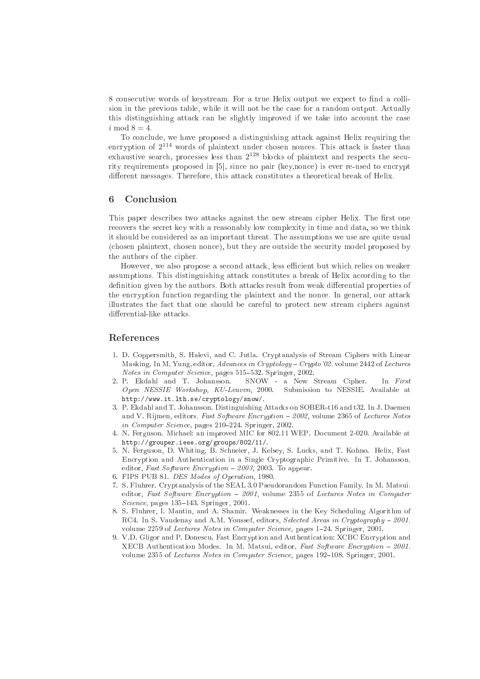8 consecutive words of keystream. For a true Helix output we expect to find a collision in the previous table, while it will not be the case for a random output. Actually this distinguishing attack can be slightly improved if we take into account the case  $i \mod 8 = 4$ .

To on
lude, we have proposed a distinguishing atta
k against Helix requiring the encryption of  $2^{114}$  words of plaintext under chosen nonces. This attack is faster than exhaustive search, processes less than  $2^{128}$  blocks of plaintext and respects the security requirements proposed in [5], since no pair (key,nonce) is ever re-used to encrypt different messages. Therefore, this attack constitutes a theoretical break of Helix.

### 6 Conclusion

This paper describes two attacks against the new stream cipher Helix. The first one recovers the secret key with a reasonably low complexity in time and data, so we think it should be onsidered as an important threat. The assumptions we use are quite usual (
hosen plaintext, hosen non
e), but they are outside the se
urity model proposed by the authors of the cipher.

However, we also propose a second attack, less efficient but which relies on weaker assumptions. This distinguishing attack constitutes a break of Helix according to the definition given by the authors. Both attacks result from weak differential properties of the encryption function regarding the plaintext and the nonce. In general, our attack illustrates the fact that one should be careful to protect new stream ciphers against differential-like attacks.

- 1. D. Coppersmith, S. Halevi, and C. Jutla. Cryptanalysis of Stream Ciphers with Linear Masking. In M. Yung, editor, Advances in Cryptology – Crypto'02, volume 2442 of Lectures Notes in Computer Science, pages 515–532. Springer, 2002.
- 2. P. Ekdahl and T. Johansson. SNOW a New Stream Cipher. In *First* Open NESSIE Workshop, KU-Leuven, 2000. Submission to NESSIE. Available at http://www.it.lth.se/cryptology/snow/.
- 3. P. Ekdahl and T. Johansson. Distinguishing Atta
ks on SOBER-t16 and t32. In J. Daemen and V. Rijmen, editors, Fast Software Encryption - 2002, volume 2365 of Lectures Notes in Computer Science, pages 210–224. Springer, 2002.
- 4. N. Ferguson. Mi
hael: an improved MIC for 802.11 WEP. Do
ument 2-020. Available at http://grouper.ieee.org/groups/802/11/.
- 5. N. Ferguson, D. Whiting, B. S
hneier, J. Kelsey, S. Lu
ks, and T. Kohno. Helix, Fast Encryption and Authentication in a Single Cryptographic Primitive. In T. Johansson, editor, Fast Software Encryption  $-$  2003, 2003. To appear.
- 6. FIPS PUB 81. DES Modes of Operation, 1980.
- 7. S. Fluhrer. Cryptanalysis of the SEAL 3.0 Pseudorandom Fun
tion Family. In M. Matsui, editor, Fast Software Encryption - 2001, volume 2355 of Lectures Notes in Computer Science, pages 135–143. Springer, 2001.
- 8. S. Fluhrer, I. Mantin, and A. Shamir. Weaknesses in the Key S
heduling Algorithm of RC4. In S. Vaudenay and A.M. Youssef, editors, Selected Areas in Cryptography – 2001, volume 2259 of Lectures Notes in Computer Science, pages 1–24. Springer, 2001.
- 9. V.D. Gligor and P. Dones
u. Fast En
ryption and Authenti
ation: XCBC En
ryption and XECB Authentication Modes. In M. Matsui, editor, Fast Software Encryption - 2001, volume 2355 of Lectures Notes in Computer Science, pages 192-108. Springer, 2001.